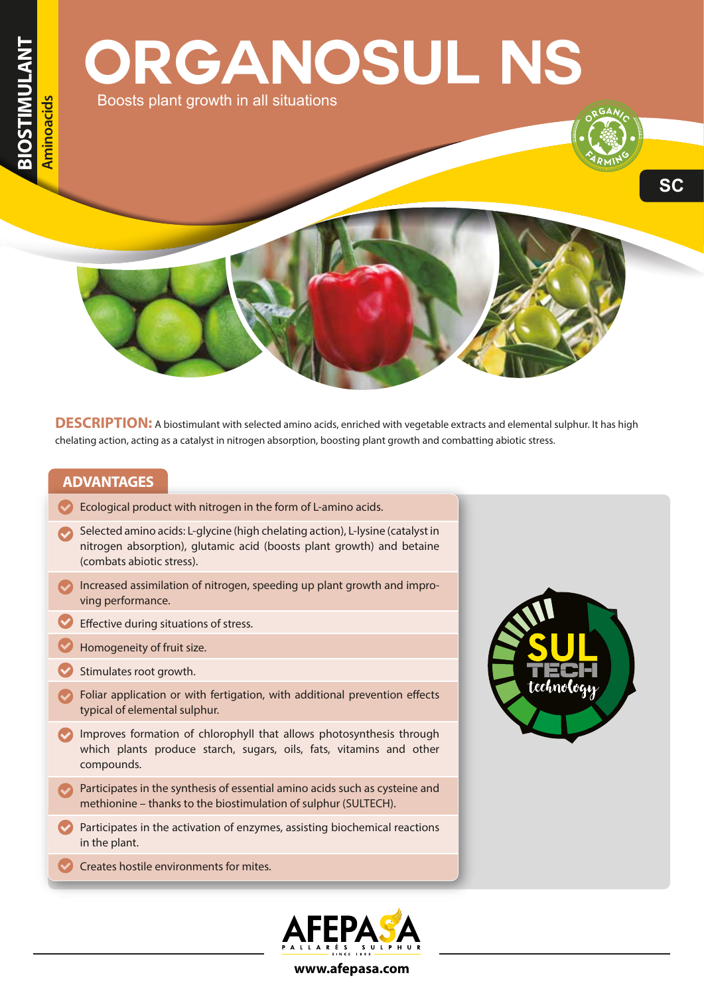# **ORGANOSUL NS** Boosts plant growth in all situations

**SC**

**DESCRIPTION:** A biostimulant with selected amino acids, enriched with vegetable extracts and elemental sulphur. It has high chelating action, acting as a catalyst in nitrogen absorption, boosting plant growth and combatting abiotic stress.

#### **ADVANTAGES**

- $\blacktriangleright$  Ecological product with nitrogen in the form of L-amino acids.
- Selected amino acids: L-glycine (high chelating action), L-lysine (catalyst in nitrogen absorption), glutamic acid (boosts plant growth) and betaine (combats abiotic stress).
- Increased assimilation of nitrogen, speeding up plant growth and improving performance.
- $\blacktriangleright$  Effective during situations of stress.
- Homogeneity of fruit size.
- Stimulates root growth.
- $\blacktriangleright$  Foliar application or with fertigation, with additional prevention effects typical of elemental sulphur.
- Improves formation of chlorophyll that allows photosynthesis through which plants produce starch, sugars, oils, fats, vitamins and other compounds.
- Participates in the synthesis of essential amino acids such as cysteine and methionine – thanks to the biostimulation of sulphur (SULTECH).
- $\blacktriangleright$  Participates in the activation of enzymes, assisting biochemical reactions in the plant.
- Creates hostile environments for mites.